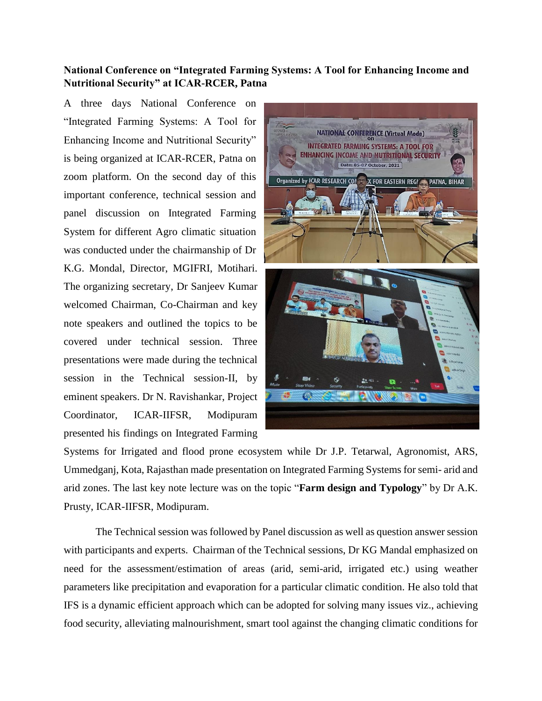## **National Conference on "Integrated Farming Systems: A Tool for Enhancing Income and Nutritional Security" at ICAR-RCER, Patna**

A three days National Conference on "Integrated Farming Systems: A Tool for Enhancing Income and Nutritional Security" is being organized at ICAR-RCER, Patna on zoom platform. On the second day of this important conference, technical session and panel discussion on Integrated Farming System for different Agro climatic situation was conducted under the chairmanship of Dr K.G. Mondal, Director, MGIFRI, Motihari. The organizing secretary, Dr Sanjeev Kumar welcomed Chairman, Co-Chairman and key note speakers and outlined the topics to be covered under technical session. Three presentations were made during the technical session in the Technical session-II, by eminent speakers. Dr N. Ravishankar, Project Coordinator, ICAR-IIFSR, Modipuram presented his findings on Integrated Farming



Systems for Irrigated and flood prone ecosystem while Dr J.P. Tetarwal, Agronomist, ARS, Ummedganj, Kota, Rajasthan made presentation on Integrated Farming Systems for semi- arid and arid zones. The last key note lecture was on the topic "**Farm design and Typology**" by Dr A.K. Prusty, ICAR-IIFSR, Modipuram.

The Technical session was followed by Panel discussion as well as question answer session with participants and experts. Chairman of the Technical sessions, Dr KG Mandal emphasized on need for the assessment/estimation of areas (arid, semi-arid, irrigated etc.) using weather parameters like precipitation and evaporation for a particular climatic condition. He also told that IFS is a dynamic efficient approach which can be adopted for solving many issues viz., achieving food security, alleviating malnourishment, smart tool against the changing climatic conditions for